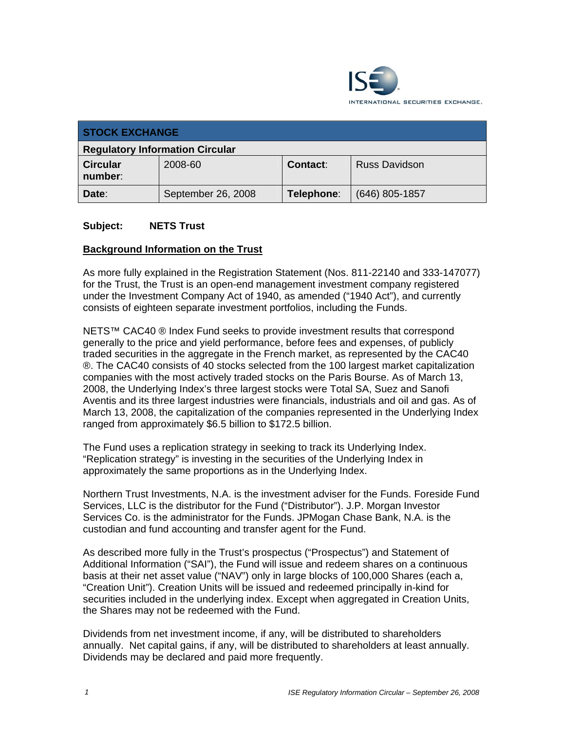

| <b>STOCK EXCHANGE</b>                  |                    |            |                      |
|----------------------------------------|--------------------|------------|----------------------|
| <b>Regulatory Information Circular</b> |                    |            |                      |
| <b>Circular</b><br>number:             | 2008-60            | Contact:   | <b>Russ Davidson</b> |
| Date:                                  | September 26, 2008 | Telephone: | $(646)$ 805-1857     |

### **Subject: NETS Trust**

### **Background Information on the Trust**

As more fully explained in the Registration Statement (Nos. 811-22140 and 333-147077) for the Trust, the Trust is an open-end management investment company registered under the Investment Company Act of 1940, as amended ("1940 Act"), and currently consists of eighteen separate investment portfolios, including the Funds.

NETS™ CAC40 ® Index Fund seeks to provide investment results that correspond generally to the price and yield performance, before fees and expenses, of publicly traded securities in the aggregate in the French market, as represented by the CAC40 ®. The CAC40 consists of 40 stocks selected from the 100 largest market capitalization companies with the most actively traded stocks on the Paris Bourse. As of March 13, 2008, the Underlying Index's three largest stocks were Total SA, Suez and Sanofi Aventis and its three largest industries were financials, industrials and oil and gas. As of March 13, 2008, the capitalization of the companies represented in the Underlying Index ranged from approximately \$6.5 billion to \$172.5 billion.

The Fund uses a replication strategy in seeking to track its Underlying Index. "Replication strategy" is investing in the securities of the Underlying Index in approximately the same proportions as in the Underlying Index.

Northern Trust Investments, N.A. is the investment adviser for the Funds. Foreside Fund Services, LLC is the distributor for the Fund ("Distributor"). J.P. Morgan Investor Services Co. is the administrator for the Funds. JPMogan Chase Bank, N.A. is the custodian and fund accounting and transfer agent for the Fund.

As described more fully in the Trust's prospectus ("Prospectus") and Statement of Additional Information ("SAI"), the Fund will issue and redeem shares on a continuous basis at their net asset value ("NAV") only in large blocks of 100,000 Shares (each a, "Creation Unit"). Creation Units will be issued and redeemed principally in-kind for securities included in the underlying index. Except when aggregated in Creation Units, the Shares may not be redeemed with the Fund.

Dividends from net investment income, if any, will be distributed to shareholders annually. Net capital gains, if any, will be distributed to shareholders at least annually. Dividends may be declared and paid more frequently.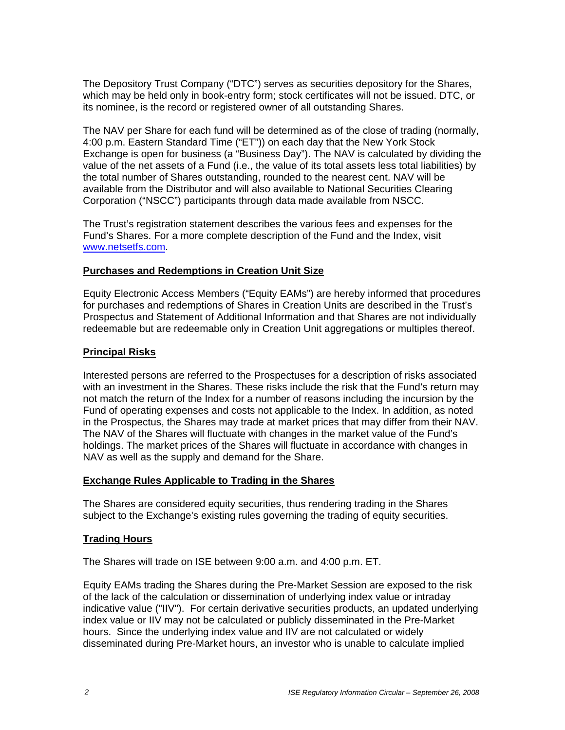The Depository Trust Company ("DTC") serves as securities depository for the Shares, which may be held only in book-entry form; stock certificates will not be issued. DTC, or its nominee, is the record or registered owner of all outstanding Shares.

The NAV per Share for each fund will be determined as of the close of trading (normally, 4:00 p.m. Eastern Standard Time ("ET")) on each day that the New York Stock Exchange is open for business (a "Business Day"). The NAV is calculated by dividing the value of the net assets of a Fund (i.e., the value of its total assets less total liabilities) by the total number of Shares outstanding, rounded to the nearest cent. NAV will be available from the Distributor and will also available to National Securities Clearing Corporation ("NSCC") participants through data made available from NSCC.

The Trust's registration statement describes the various fees and expenses for the Fund's Shares. For a more complete description of the Fund and the Index, visit www.netsetfs.com.

# **Purchases and Redemptions in Creation Unit Size**

Equity Electronic Access Members ("Equity EAMs") are hereby informed that procedures for purchases and redemptions of Shares in Creation Units are described in the Trust's Prospectus and Statement of Additional Information and that Shares are not individually redeemable but are redeemable only in Creation Unit aggregations or multiples thereof.

### **Principal Risks**

Interested persons are referred to the Prospectuses for a description of risks associated with an investment in the Shares. These risks include the risk that the Fund's return may not match the return of the Index for a number of reasons including the incursion by the Fund of operating expenses and costs not applicable to the Index. In addition, as noted in the Prospectus, the Shares may trade at market prices that may differ from their NAV. The NAV of the Shares will fluctuate with changes in the market value of the Fund's holdings. The market prices of the Shares will fluctuate in accordance with changes in NAV as well as the supply and demand for the Share.

#### **Exchange Rules Applicable to Trading in the Shares**

The Shares are considered equity securities, thus rendering trading in the Shares subject to the Exchange's existing rules governing the trading of equity securities.

#### **Trading Hours**

The Shares will trade on ISE between 9:00 a.m. and 4:00 p.m. ET.

Equity EAMs trading the Shares during the Pre-Market Session are exposed to the risk of the lack of the calculation or dissemination of underlying index value or intraday indicative value ("IIV"). For certain derivative securities products, an updated underlying index value or IIV may not be calculated or publicly disseminated in the Pre-Market hours. Since the underlying index value and IIV are not calculated or widely disseminated during Pre-Market hours, an investor who is unable to calculate implied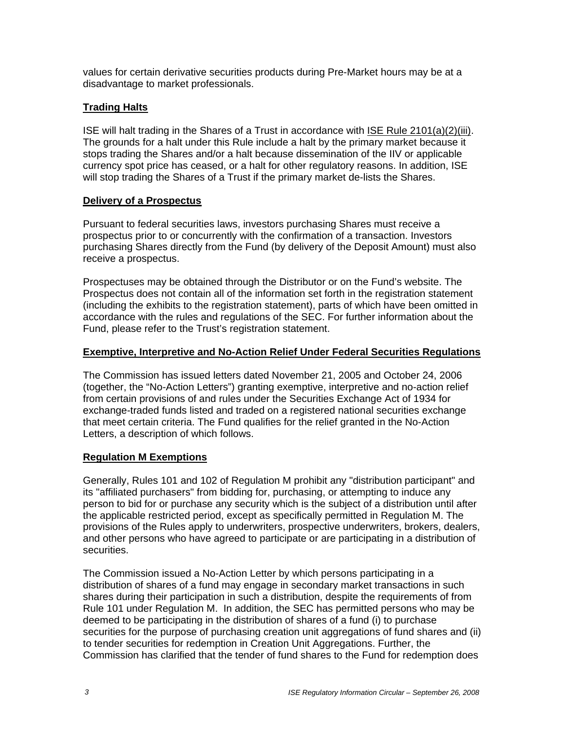values for certain derivative securities products during Pre-Market hours may be at a disadvantage to market professionals.

# **Trading Halts**

ISE will halt trading in the Shares of a Trust in accordance with ISE Rule 2101(a)(2)(iii). The grounds for a halt under this Rule include a halt by the primary market because it stops trading the Shares and/or a halt because dissemination of the IIV or applicable currency spot price has ceased, or a halt for other regulatory reasons. In addition, ISE will stop trading the Shares of a Trust if the primary market de-lists the Shares.

# **Delivery of a Prospectus**

Pursuant to federal securities laws, investors purchasing Shares must receive a prospectus prior to or concurrently with the confirmation of a transaction. Investors purchasing Shares directly from the Fund (by delivery of the Deposit Amount) must also receive a prospectus.

Prospectuses may be obtained through the Distributor or on the Fund's website. The Prospectus does not contain all of the information set forth in the registration statement (including the exhibits to the registration statement), parts of which have been omitted in accordance with the rules and regulations of the SEC. For further information about the Fund, please refer to the Trust's registration statement.

# **Exemptive, Interpretive and No-Action Relief Under Federal Securities Regulations**

The Commission has issued letters dated November 21, 2005 and October 24, 2006 (together, the "No-Action Letters") granting exemptive, interpretive and no-action relief from certain provisions of and rules under the Securities Exchange Act of 1934 for exchange-traded funds listed and traded on a registered national securities exchange that meet certain criteria. The Fund qualifies for the relief granted in the No-Action Letters, a description of which follows.

# **Regulation M Exemptions**

Generally, Rules 101 and 102 of Regulation M prohibit any "distribution participant" and its "affiliated purchasers" from bidding for, purchasing, or attempting to induce any person to bid for or purchase any security which is the subject of a distribution until after the applicable restricted period, except as specifically permitted in Regulation M. The provisions of the Rules apply to underwriters, prospective underwriters, brokers, dealers, and other persons who have agreed to participate or are participating in a distribution of securities.

The Commission issued a No-Action Letter by which persons participating in a distribution of shares of a fund may engage in secondary market transactions in such shares during their participation in such a distribution, despite the requirements of from Rule 101 under Regulation M. In addition, the SEC has permitted persons who may be deemed to be participating in the distribution of shares of a fund (i) to purchase securities for the purpose of purchasing creation unit aggregations of fund shares and (ii) to tender securities for redemption in Creation Unit Aggregations. Further, the Commission has clarified that the tender of fund shares to the Fund for redemption does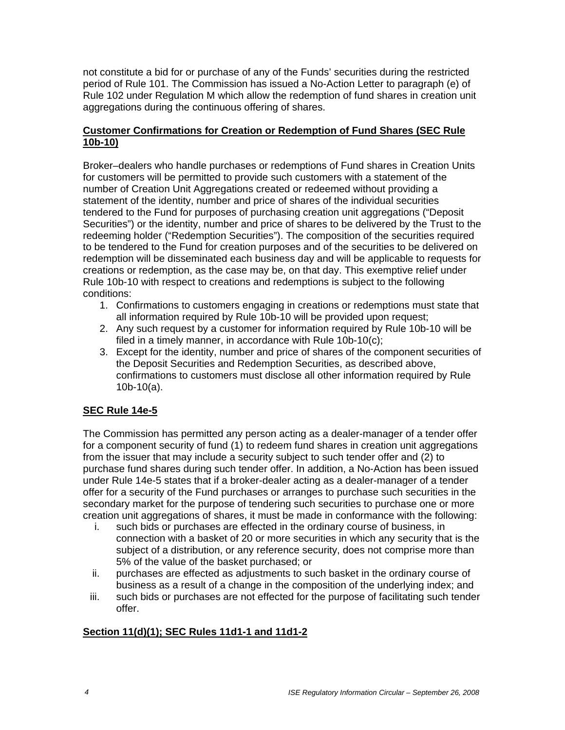not constitute a bid for or purchase of any of the Funds' securities during the restricted period of Rule 101. The Commission has issued a No-Action Letter to paragraph (e) of Rule 102 under Regulation M which allow the redemption of fund shares in creation unit aggregations during the continuous offering of shares.

# **Customer Confirmations for Creation or Redemption of Fund Shares (SEC Rule 10b-10)**

Broker–dealers who handle purchases or redemptions of Fund shares in Creation Units for customers will be permitted to provide such customers with a statement of the number of Creation Unit Aggregations created or redeemed without providing a statement of the identity, number and price of shares of the individual securities tendered to the Fund for purposes of purchasing creation unit aggregations ("Deposit Securities") or the identity, number and price of shares to be delivered by the Trust to the redeeming holder ("Redemption Securities"). The composition of the securities required to be tendered to the Fund for creation purposes and of the securities to be delivered on redemption will be disseminated each business day and will be applicable to requests for creations or redemption, as the case may be, on that day. This exemptive relief under Rule 10b-10 with respect to creations and redemptions is subject to the following conditions:

- 1. Confirmations to customers engaging in creations or redemptions must state that all information required by Rule 10b-10 will be provided upon request;
- 2. Any such request by a customer for information required by Rule 10b-10 will be filed in a timely manner, in accordance with Rule 10b-10(c);
- 3. Except for the identity, number and price of shares of the component securities of the Deposit Securities and Redemption Securities, as described above, confirmations to customers must disclose all other information required by Rule 10b-10(a).

# **SEC Rule 14e-5**

The Commission has permitted any person acting as a dealer-manager of a tender offer for a component security of fund (1) to redeem fund shares in creation unit aggregations from the issuer that may include a security subject to such tender offer and (2) to purchase fund shares during such tender offer. In addition, a No-Action has been issued under Rule 14e-5 states that if a broker-dealer acting as a dealer-manager of a tender offer for a security of the Fund purchases or arranges to purchase such securities in the secondary market for the purpose of tendering such securities to purchase one or more creation unit aggregations of shares, it must be made in conformance with the following:

- i. such bids or purchases are effected in the ordinary course of business, in connection with a basket of 20 or more securities in which any security that is the subject of a distribution, or any reference security, does not comprise more than 5% of the value of the basket purchased; or
- ii. purchases are effected as adjustments to such basket in the ordinary course of business as a result of a change in the composition of the underlying index; and
- iii. such bids or purchases are not effected for the purpose of facilitating such tender offer.

# **Section 11(d)(1); SEC Rules 11d1-1 and 11d1-2**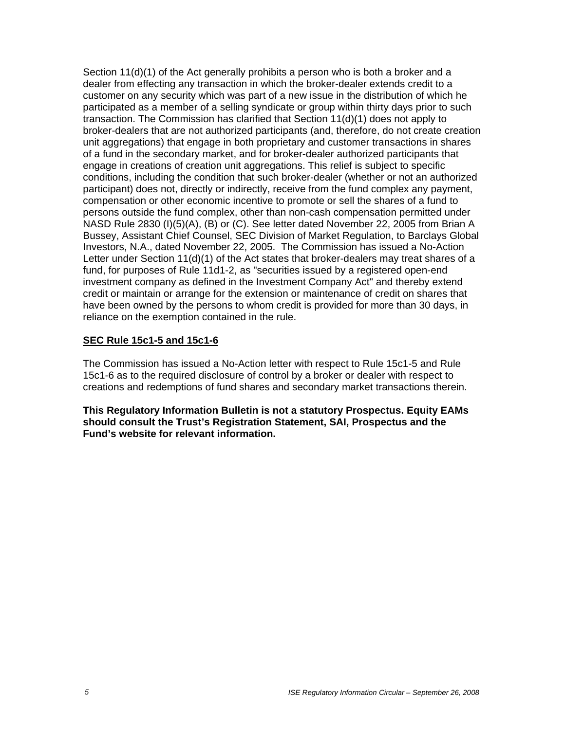Section 11(d)(1) of the Act generally prohibits a person who is both a broker and a dealer from effecting any transaction in which the broker-dealer extends credit to a customer on any security which was part of a new issue in the distribution of which he participated as a member of a selling syndicate or group within thirty days prior to such transaction. The Commission has clarified that Section 11(d)(1) does not apply to broker-dealers that are not authorized participants (and, therefore, do not create creation unit aggregations) that engage in both proprietary and customer transactions in shares of a fund in the secondary market, and for broker-dealer authorized participants that engage in creations of creation unit aggregations. This relief is subject to specific conditions, including the condition that such broker-dealer (whether or not an authorized participant) does not, directly or indirectly, receive from the fund complex any payment, compensation or other economic incentive to promote or sell the shares of a fund to persons outside the fund complex, other than non-cash compensation permitted under NASD Rule 2830 (I)(5)(A), (B) or (C). See letter dated November 22, 2005 from Brian A Bussey, Assistant Chief Counsel, SEC Division of Market Regulation, to Barclays Global Investors, N.A., dated November 22, 2005. The Commission has issued a No-Action Letter under Section 11(d)(1) of the Act states that broker-dealers may treat shares of a fund, for purposes of Rule 11d1-2, as "securities issued by a registered open-end investment company as defined in the Investment Company Act" and thereby extend credit or maintain or arrange for the extension or maintenance of credit on shares that have been owned by the persons to whom credit is provided for more than 30 days, in reliance on the exemption contained in the rule.

### **SEC Rule 15c1-5 and 15c1-6**

The Commission has issued a No-Action letter with respect to Rule 15c1-5 and Rule 15c1-6 as to the required disclosure of control by a broker or dealer with respect to creations and redemptions of fund shares and secondary market transactions therein.

**This Regulatory Information Bulletin is not a statutory Prospectus. Equity EAMs should consult the Trust's Registration Statement, SAI, Prospectus and the Fund's website for relevant information.**